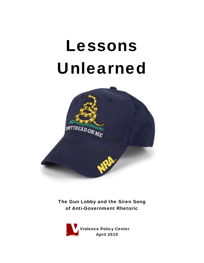# Lessons Unlearned



The Gun Lobby and the Siren Song of Anti-Government Rhetoric

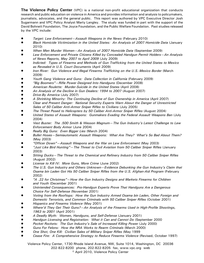**The Violence Policy Center** (VPC) is a national non-profit educational organization that conducts research and public education on violence in America and provides information and analysis to policymakers, journalists, advocates, and the general public. This report was authored by VPC Executive Director Josh Sugarmann and VPC Policy Analyst Marty Langley. The study was funded in part with the support of the David Bohnett Foundation, The Joyce Foundation, and the Public Welfare Foundation. Past studies released by the VPC include:

- ! *Target: Law Enforcement—Assault Weapons in the News* (February 2010)
- ! *Black Homicide Victimization in the United States: An Analysis of 2007 Homicide Data* (January 2010)
- ! *When Men Murder Women—An Analysis of 2007 Homicide Data* (September 2009)
- ! *Law Enforcement and Private Citizens Killed by Concealed Handgun Permit Holders—An Analysis of News Reports, May 2007 to April 2009* (July 2009)
- ! *Indicted: Types of Firearms and Methods of Gun Trafficking from the United States to Mexico as Revealed in U.S. Court Documents* (April 2009)
- Iron River: Gun Violence and Illegal Firearms Trafficking on the U.S.-Mexico Border (March 2009)
- ! *Youth Gang Violence and Guns: Data Collection in California* (February 2009)
- ! *"Big Boomers"—Rifle Power Designed Into Handguns* (December 2008)
- ! *American Roulette: Murder-Suicide in the United States* (April 2008)
- ! *An Analysis of the Decline in Gun Dealers: 1994 to 2007* (August 2007)
- ! *Drive-By America* (July 2007)
- ! *A Shrinking Minority: The Continuing Decline of Gun Ownership in America* (April 2007)
- ! *Clear and Present Danger: National Security Experts Warn About the Danger of Unrestricted Sales of 50 Caliber Anti-Armor Sniper Rifles to Civilians* (July 2005)
- ! *The Threat Posed to Helicopters by 50 Caliber Anti-Armor Sniper Rifles* (August 2004)
- ! *United States of Assault Weapons: Gunmakers Evading the Federal Assault Weapons Ban* (July 2004)
- ! *Vest Buster: The .500 Smith & Wesson Magnum—The Gun Industry's Latest Challenge to Law Enforcement Body Armor* (June 2004)
- ! *Really Big Guns: Even Bigger Lies* (March 2004)
- ! *Bullet Hoses—Semiautomatic Assault Weapons: What Are They? What's So Bad About Them?* (May 2003)
- ! *"Officer Down"—Assault Weapons and the War on Law Enforcement* (May 2003)
- ! *"Just Like Bird Hunting"—The Threat to Civil Aviation from 50 Caliber Sniper Rifles* (January 2003)
- ! *Sitting Ducks—The Threat to the Chemical and Refinery Industry from 50 Caliber Sniper Rifles* (August 2002)
- ! *License to Kill IV: More Guns, More Crime* (June 2002)
- ! *The U.S. Gun Industry and Others Unknown—Evidence Debunking the Gun Industry's Claim that Osama bin Laden Got His 50 Caliber Sniper Rifles from the U.S. Afghan-Aid Program* (February 2002)
- ! *"A .22 for Christmas"—How the Gun Industry Designs and Markets Firearms for Children and Youth* (December 2001)
- ! *Unintended Consequences: Pro-Handgun Experts Prove That Handguns Are a Dangerous Choice For Self-Defense* (November 2001)
- ! *Voting from the Rooftops: How the Gun Industry Armed Osama bin Laden, Other Foreign and Domestic Terrorists, and Common Criminals with 50 Caliber Sniper Rifles* (October 2001)
- ! *Hispanics and Firearms Violence* (May 2001)
- ! *Where'd They Get Their Guns?—An Analysis of the Firearms Used in High-Profile Shootings, 1963 to 2001* (April 2001)
- ! *A Deadly Myth: Women, Handguns, and Self-Defense* (January 2001)
- ! *Handgun Licensing and Registration: What it Can and Cannot Do* (September 2000
- ! *Pocket Rockets: The Gun Industry's Sale of Increased Killing Power* (July 2000)
- ! *Guns For Felons: How the NRA Works to Rearm Criminals* (March 2000)
- ! *One Shot, One Kill: Civilian Sales of Military Sniper Rifles* (May 1999
- ! *Cease Fire: A Comprehensive Strategy to Reduce Firearms Violence* (Revised, October 1997)

Violence Policy Center, 1730 Rhode Island Avenue, NW, Suite 1014, Washington, DC 20036 202-822-8200 phone, 202-822-8205 fax, www.vpc.org web

© April 2010, Violence Policy Center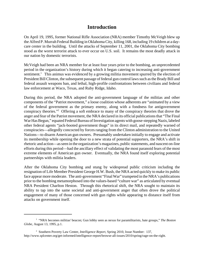# **Introduction**

On April 19, 1995, former National Rifle Association (NRA) member Timothy McVeigh blew up the Alfred P. Murrah Federal Building in Oklahoma City, killing 168, including 19 children at a daycare center in the building. Until the attacks of September 11, 2001, the Oklahoma City bombing stood as the worst terrorist attack to ever occur on U.S. soil. It remains the most deadly attack in our nation by domestic terrorists.

McVeigh had been an NRA member for at least four years prior to the bombing, an unprecedented period in the organization's history during which it began catering to increasing anti-government sentiment.<sup>1</sup> This animus was evidenced by a growing militia movement spurred by the election of President Bill Clinton, the subsequent passage of federal gun control laws such as the Brady Bill and federal assault weapons ban, and lethal, high-profile confrontations between civilians and federal law enforcement at Waco, Texas, and Ruby Ridge, Idaho.

During this period, the NRA adopted the anti-government language of the militias and other components of the "Patriot movement," a loose coalition whose adherents are "animated by a view of the federal government as the primary enemy, along with a fondness for antigovernment conspiracy theories."<sup>2</sup> Offering a soft embrace to many of the conspiracy theories that drove the anger and fear of the Patriot movement, the NRA declared in its official publications that "The Final War Has Begun," equated Federal Bureau of Investigation agents with goose-stepping Nazis, labeled other federal agents "jack-booted government thugs" in its direct mail, and repeatedly warned of conspiracies—allegedly concocted by forces ranging from the Clinton administration to the United Nations—to disarm American gun owners. Presumably undertaken initially to engage and activate its membership while opening the door to a new strata of potential supporters, the NRA's shift in rhetoric and action—as seen in the organization's magazines, public statements, and nascent on-line efforts during this period—had the ancillary effect of validating the most paranoid fears of the most extreme elements of American gun owner. Eventually, the NRA found itself exploring potential partnerships with militia leaders.

After the Oklahoma City bombing and stung by widespread public criticism including the resignation of Life Member President George H.W. Bush, the NRA acted quickly to make its public face appear more moderate. The anti-government "Final War" trumpeted in the NRA's publications prior to the bombing metamorphosed into the values-based "culture war" as articulated by eventual NRA President Charlton Heston. Through this rhetorical shift, the NRA sought to maintain its ability to tap into the same societal and anti-government anger that often drove the political engagement of many of those concerned with gun rights while appearing to distance itself from attacks on government itself.

<sup>&</sup>lt;sup>1</sup> "NRA becomes militias' beacon; Gun lobby seen as nexus for paramilitarists, hate groups," The Boston *Globe*, August 13, 1995, p.1.

<sup>2</sup> Southern Poverty Law Center, *Intelligence Report*, Spring 2010, Issue Number: 137, http://www.splcenter.org/get-informed/intelligence-report/browse-all-issues/2010/spring/rage-on-the-right.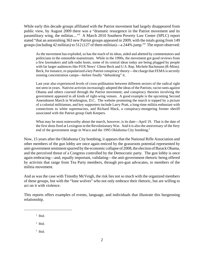While early this decade groups affiliated with the Patriot movement had largely disappeared from public view, by August 2009 there was a "dramatic resurgence in the Patriot movement and its paramilitary wing, the militias...."<sup>3</sup> A March 2010 Southern Poverty Law Center (SPLC) report stated "that an astonishing 363 new Patriot groups appeared in 2009, with the totals going from 149 groups (including 42 militias) to 512 (127 of them militias)—a 244% jump."4 The report observed:

As the movement has exploded, so has the reach of its ideas, aided and abetted by commentators and politicians in the ostensible mainstream. While in the 1990s, the movement got good reviews from a few lawmakers and talk-radio hosts, some of its central ideas today are being plugged by people with far larger audiences like FOX News' Glenn Beck and U.S. Rep. Michele Bachmann (R-Minn). Beck, for instance, re-popularized a key Patriot conspiracy theory—the charge that FEMA is secretly running concentration camps—before finally "debunking" it.

Last year also experienced levels of cross-pollination between different sectors of the radical right not seen in years. Nativist activists increasingly adopted the ideas of the Patriots; racist rants against Obama and others coursed through the Patriot movement; and conspiracy theories involving the government appeared in all kinds of right-wing venues. A good example is the upcoming Second Amendment March in Washington, D.C. The website promoting the march is topped by a picture of a colonial militiaman, and key supporters include Larry Pratt, a long-time militia enthusiast with connections to white supremacists, and Richard Mack, a conspiracy-mongering former sheriff associated with the Patriot group Oath Keepers.

What may be most noteworthy about the march, however, is its date—April 19. That is the date of the first shots fired at Lexington in the Revolutionary War. And it is also the anniversary of the fiery end of the government siege in Waco and the 1995 Oklahoma City bombing.<sup>5</sup>

Now, 15 years after the Oklahoma City bombing, it appears that the National Rifle Association and other members of the gun lobby are once again enticed by the grassroots potential represented by anti-government sentiment spurred by the economic collapse of 2008, the election of Barack Obama, and the perceived threat of a Congress controlled by the Democratic party. The gun lobby is once again embracing—and, equally important, validating—the anti-government rhetoric being offered by activists that range from Tea Party members, through pro-gun advocates, to members of the militia movement.

And as was the case with Timothy McVeigh, the risk lies not so much with the organized members of these groups, but with the "lone wolves" who not only embrace their rhetoric, but are willing to act on it with violence.

This reports offers examples of events, language, and individuals that illustrate this burgeoning relationship.

- 4 Ibid.
- 5 Ibid.

<sup>3</sup> Ibid.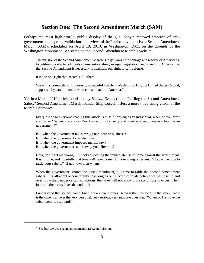## **Section One: The Second Amendment March (SAM)**

Perhaps the most high-profile, public display of the gun lobby's renewed embrace of antigovernment language and validation of the views of the Patriot movement is the Second Amendment March (SAM), scheduled for April 19, 2010, in Washington, D.C., on the grounds of the Washington Monument. As stated on the Second Amendment March's website:

The mission of the Second Amendment March is to galvanize the courage and resolve of Americans; to petition our elected officials against establishing anti-gun legislation; and to remind America that the Second Amendment is necessary to maintain our right to self defense.

It is the one right that protects all others.

We will accomplish our mission by a peaceful march in Washington DC, the United States Capital, supported by satellite marches in cities all across America.<sup>6</sup>

Yet in a March 2010 article published by *Human Events* titled "Rattling the Second Amendment Saber," Second Amendment March founder Skip Coryell offers a more threatening vision of the March's purpose:

My question to everyone reading this article is this: "For you, as an individual, when do you draw your saber? When do you say "Yes, I am willing to rise up and overthrow an oppressive, totalitarian government?"

Is it when the government takes away your private business?

Is it when the government rigs elections?

Is it when the government imposes martial law?

Is it when the government takes away your firearms?

Now, don't get me wrong. I'm not advocating the immediate use of force against the government. It isn't time, and hopefully that time will never come. But one thing is certain: "Now is the time to rattle your sabers." If not now, then when?

When the government ignores the First Amendment, it is time to rattle the Second Amendment sabers. It's all about accountability. So long as our elected officials believe we will rise up and overthrow them under certain conditions, then they will not allow those conditions to occur. Their jobs and their very lives depend on it.

I understand that sounds harsh, but these are harsh times. Now is the time to rattle the saber. Now is the time to answer the very personal, very serious, very intimate question: "When do I remove the saber from its scabbard?"

<sup>6</sup> See http://www.secondamendmentmarch.com/mission.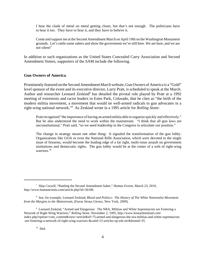I hear the clank of metal on metal getting closer, but that's not enough. The politicians have to hear it too. They have to hear it, and they have to believe it.

Come and support me at the Second Amendment March on April 19th on the Washington Monument grounds. Let's rattle some sabers and show the government we're still here. We are here, and we are not silent!7

In addition to such organizations as the United States Concealed Carry Association and Second Amendment Sisters, supporters of the SAM include the following.

#### **Gun Owners of America**.

Prominently featured on the Second Amendment March website, Gun Owners of America is a "Gold" level sponsor of the event and its executive director, Larry Pratt, is scheduled to speak at the March. Author and researcher Leonard Zeskind<sup>8</sup> has detailed the pivotal role played by Pratt at a 1992 meeting of extremists and racist leaders in Estes Park, Colorado, that he cites as "the birth of the modern militia movement, a movement that would tie well-armed radicals to gun advocates in a right-wing national network."9 As Zeskind wrote in a 1995 article for *Rolling Stone*:

Pratt recognized "the importance of having an armed militia able to organize quickly and effectively." But he also understood the need to work within the mainstream. "I think that all gun laws are unconstitutional," Pratt said, "so we need leadership in the Congress to articulate our position."

The change in strategy meant one other thing: It signaled the transformation of the gun lobby. Organizations like GOA or even the National Rifle Association, which were devoted to the single issue of firearms, would become the leading edge of a far right, multi-issue assault on government institutions and democratic rights. The gun lobby would be at the center of a web of right-wing warriors.<sup>10</sup>

<sup>7</sup> Skip Coryell, "Rattling the Second Amendment Saber," *Human Events*, March 23, 2010, http://www.humanevents.com/article.php?id=36108.

<sup>8</sup> See, for example, Leonard Zeskind*, Blood and Politics: The History of The White Nationalist Movement from the Margins to the Mainstream*, (Farrar Straus Giroux, New York, 2009).

<sup>&</sup>lt;sup>9</sup> Leonard Zeskind, "Armed and Dangerous: The NRA, Militias and White Supremacists are Fostering a Network of Right Wing Warriors," *Rolling Stone*, November 2, 1995, http://www.leonardzeskind.com/ index.php?option=com\_content&view=article&id=75:armed-and-dangerous-the-nra-militias-and-white-supremacists -are-fostering-a-network-of-right-wing-warriors-&catid=21:articles-op-eds-etc&Itemid=35.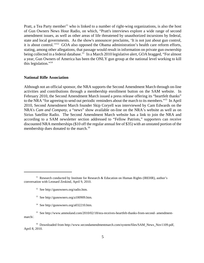Pratt, a Tea Party member<sup>11</sup> who is linked to a number of right-wing organizations, is also the host of Gun Owners News Hour Radio, on which, "Pratt's interviews explore a wide range of second amendment issues, as well as other areas of life threatened by unauthorized incursions by federal, state and local governments. As the show's announcer proclaims, 'It is not just about gun control, it is about control.'"12 GOA also opposed the Obama administration's health care reform efforts, stating, among other allegations, that passage would result in information on private gun ownership being collected in a federal database.<sup>13</sup> In a March 2010 legislative alert, GOA bragged, "For almost a year, Gun Owners of America has been the ONLY gun group at the national level working to kill this legislation."14

#### **National Rifle Association**

Although not an official sponsor, the NRA supports the Second Amendment March through on-line activities and contributions through a membership enrollment button on the SAM website. In February 2010, the Second Amendment March issued a press release offering its "heartfelt thanks" to the NRA "for agreeing to send out periodic reminders about the march to its members."15 In April 2010, Second Amendment March founder Skip Coryell was interviewed by Cam Edwards on the NRA's *Cam and Company*, a "news" show available on-line on the NRA's website as well as on Sirius Satellite Radio. The Second Amendment March website has a link to join the NRA and according to a SAM newsletter section addressed to "Fellow Patriots," supporters can receive discounted NRA memberships (\$10 off the regular annual fee of \$35) with an unstated portion of the membership dues donated to the march.<sup>16</sup>

<sup>&</sup>lt;sup>11</sup> Research conducted by Institute for Research & Education on Human Rights (IREHR), author's conversation with Leonard Zeskind, April 9, 2010.

<sup>12</sup> See http://gunowners.org/radio.htm.

<sup>13</sup> See http://gunowners.org/a100909.htm.

<sup>14</sup> See http://gunowners.org/a032210.htm.

<sup>&</sup>lt;sup>15</sup> See http://www.ammoland.com/2010/02/18/nra-receives-heartfelt-thanks-from-second- amendmentmarch/.

<sup>&</sup>lt;sup>16</sup> Downloaded from http://www.secondamendmentmarch.com/system/files/SAM\_News\_Nov1109.pdf, April 8, 2010.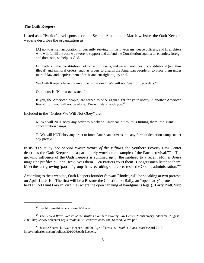#### **The Oath Keepers**.

Listed as a "Patriot" level sponsor on the Second Amendment March website, the Oath Keepers website describes the organization as:

[A] non-partisan association of currently serving military, veterans, peace officers, and firefighters who will fulfill the oath we swore to support and defend the Constitution against all enemies, foreign and domestic, so help us God.

Our oath is to the Constitution, not to the politicians, and we will not obey unconstitutional (and thus illegal) and immoral orders, such as orders to disarm the American people or to place them under martial law and deprive them of their ancient right to jury trial.

We Oath Keepers have drawn a line in the sand. We will not "just follow orders."

Our motto is "Not on our watch!"

If you, the American people, are forced to once again fight for your liberty in another American Revolution, you will not be alone. We will stand with you.<sup>17</sup>

Included in the "Orders We Will Not Obey" are:

6. We will NOT obey any order to blockade American cities, thus turning them into giant concentration camps.

7. We will NOT obey any order to force American citizens into any form of detention camps under any pretext.

In its 2009 study *The Second Wave: Return of the Militias*, the Southern Poverty Law Center describes the Oath Keepers as "a particularly worrisome example of the Patriot revival."18 The growing influence of the Oath Keepers is summed up in the subhead to a recent *Mother Jones* magazine profile: "Glenn Beck loves them. Tea Partiers court them. Congressmen listen to them. Meet the fast-growing 'patriot' group that's recruiting soldiers to resist the Obama administration."<sup>19</sup>

According to their website, Oath Keepers founder Stewart Rhodes, will be speaking at two protests on April 19, 2010. The first will be a Restore the Constitution Rally, an "open carry" protest to be held at Fort Hunt Park in Virginia (where the open carrying of handguns is legal). Larry Pratt, Skip

<sup>17</sup> See http://oathkeepers.org/oath/about/.

<sup>18</sup> *The Second Wave: Return of the Militias*, Southern Poverty Law Center, Montgomery, Alabama, August 2009, http://www.splcenter.org/sites/default/files/downloads/The\_Second\_Wave.pdf.

<sup>19</sup> Justine Sharrock, "Oath Keepers and the Age of Treason,*" Mother Jones,* March/April 2010, http://motherjones.com/politics/2010/03/oath-keepers.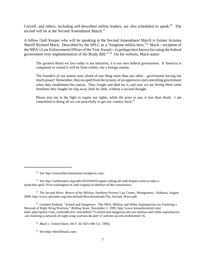Coryell, and others, including self-described militia leaders, are also scheduled to speak.<sup>20</sup> The second will be at the Second Amendment March.<sup>21</sup>

A fellow Oath Keeper who will be speaking at the Second Amendment March is former Arizona Sheriff Richard Mack. Described by the SPLC as a "longtime militia hero,"<sup>22</sup> Mack—recipient of the NRA's Law Enforcement Officer of the Year Award—is perhaps best known for suing the federal government over implementation of the Brady Bill.<sup>23 24</sup> On his website, Mack states:

The greatest threat we face today is not terrorists; it is our own federal government. If America is conquered or ruined it will be from within, *not* a foreign enemy.

The founders of our nation were afraid of one thing more than any other... government having too much power! Remember, they escaped from the tyranny of an oppressive and controlling government when they established this nation. They fought and died for it, and now we are letting these same freedoms they fought for slip away little by little, without a second thought.

Please join me in the fight to regain our rights, while the price to pay is less than death. I am committed to doing all we can peacefully to get our country back.<sup>25</sup>

22 *The Second Wave: Return of the Militias*, Southern Poverty Law Center, Montgomery, Alabama, August 2009, http://www.splcenter.org/sites/default/files/downloads/The\_Second\_Wave.pdf*.* 

<sup>23</sup> Leonard Zeskind, "Armed and Dangerous: The NRA, Militias and White Supremacists are Fostering a Network of Right Wing Warriors," *Rolling Stone*, November 2, 1995, http://www.leonardzeskind.com/ index.php?option=com\_content&view=article&id=75:armed-and-dangerous-the-nra-militias-and-white-supremacists -are-fostering-a-network-of-right-wing-warriors-&catid=21:articles-op-eds-etc&Itemid=35.

24 *Mack v. United States*, 66 F. 3d 1025 (9th Cir. 1995).

<sup>20</sup> See http://restoretheconstitution.wordpress.com/.

<sup>&</sup>lt;sup>21</sup> See http://oathkeepers.org/oath/2010/04/03/urgent-calling-all-oath-keepers-time-to-take-astand-this-april-19-in-washington-dc-and-virginia-in-defense-of-the-constitution/.

<sup>25</sup> See http://sheriffmack.com/.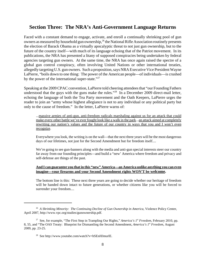# **Section Three: The NRA's Anti-Government Language Returns**

Faced with a constant demand to engage, activate, and enroll a continually shrinking pool of gun owners as measured by household gun ownership,  $26$  the National Rifle Association routinely presents the election of Barack Obama as a virtually apocalyptic threat to not just gun ownership, but to the future of the country itself—with much of its language echoing that of the Patriot movement. In its publications, the NRA has presented a litany of supposed conspiracies being undertaken by federal agencies targeting gun owners. At the same time, the NRA has once again raised the spectre of a global gun control conspiracy, often involving United Nations or other international treaties, allegedly targeting U.S. gun owners. Such a proposition, says NRA Executive Vice President Wayne LaPierre, "boils down to one thing: The power of the American people—of individuals—is crushed by the power of the international super-state. $127$ 

Speaking at the 2009 CPAC convention, LaPierre told cheering attendees that "our Founding Fathers understood that the guys with the guns make the rules."<sup>28</sup> In a December 2009 direct-mail letter, echoing the language of both the Tea Party movement and the Oath Keepers, LaPierre urges the reader to join an "army whose highest allegiance is not to any individual or any political party but only to the cause of freedom." In the letter, LaPierre warns of:

...massive armies of anti-gun, anti-freedom radicals marshaling against us for an attack that could make every other battle we've ever fought look like a walk in the park...an attack aimed at completely rewriting our nation's values and the future of our country in ways that you and I won't even recognize.

Everywhere you look, the writing is on the wall—that the next three years will be the most dangerous days of our lifetimes, not just for the Second Amendment but for freedom itself....

We're going to see gun-banners along with the media and anti-gun special interests steer our country far away from our founding principles—and build a "new' America where freedom and privacy and self-defense are things of the past.

### **And I can guarantee you that in this "new" America—an America unlike anything you can even imagine—your firearms and your Second Amendment rights WON'T be welcome.**

The bottom line is this: These next three years are going to decide whether our heritage of freedom will be handed down intact to future generations, or whether citizens like you will be forced to surrender your freedom....

<sup>26</sup> *A Shrinking Minority: The Continuing Decline of Gun Ownership in America*, Violence Policy Center, April 2007, http://www.vpc.org/studies/gunownership.pdf.

<sup>&</sup>lt;sup>27</sup> See, for example, "The First Step in Trampling Our Rights," *America's 1<sup>st</sup> Freedom*, February 2010, pp. 8, 55, and "The OAS Treaty: Blueprint for Dismantling the Second Amendment, *America's 1st Freedom*, August 2009, pp. 23-25.

<sup>&</sup>lt;sup>28</sup> See http://www.youtube.com/watch?v=hSEnHJmurlE.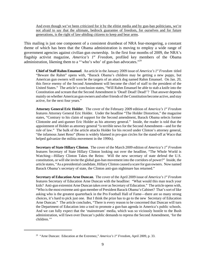And even though we've been criticized for it by the elitist media and by gun-ban politicians, we're not afraid to say that the ultimate, bedrock guarantee of freedom, for ourselves and for future generations, is the right of law-abiding citizens to keep and bear arms.

This mailing is just one component of a consistent drumbeat of NRA fear-mongering, a constant theme of which has been that the Obama administration is moving to employ a wide range of government agencies against civilian gun ownership. In the first four months of 2009, the NRA's flagship activist magazine, *America's 1st Freedom,* profiled key members of the Obama administration, likening them to a "'who's who' of gun-ban advocates."29

**Chief of Staff Rahm Emanuel**. An article in the January 2009 issue of *America's 1<sup>st</sup> Freedom* titled "Beware the Rahm" opens with, "Barack Obama's children may be getting a new puppy, but American gun owners will soon be the targets of an attack dog named Rahm Emanuel. On Jan. 20, this fierce enemy of the Second Amendment will become the chief of staff to the president of the United States." The article's conclusion states, "Will Rahm Emanuel be able to stab a knife into the Constitution and scream that the Second Amendment is 'Dead! Dead! Dead!'? That answer depends mainly on whether American gun owners and other friends of the Constitution become active, and stay active, for the next four years."

**Attorney General Eric Holder**. The cover of the February 2009 edition of *America's 1st Freedom* features Attorney General Eric Holder. Under the headline "The Holder Distortion," the magazine states, "Contrary to his claim of support for the Second amendment, Barack Obama selects former Clintonite and anti-gunner Eric Holder as his attorney general." Inside, the reader is told that the appointment of Holder as attorney general "is terrible news for the Second Amendment—and for the rule of law." The bulk of the article attacks Holder for his record under Clinton's attorney general, "the infamous Janet Reno" (Reno is widely blamed in pro-gun circles for the stand-off at Waco that helped galvanize the militia movement in the 1990s).

**Secretary of State Hillary Clinton**. The cover of the March 2009 edition of *America's 1st Freedom* features Secretary of State Hillary Clinton looking out over the headline, "The Whole World is Watching—Hillary Clinton Takes the Reins: Will the new secretary of state defend the U.S. constitution, or will she invite the global gun-ban movement into the corridors of power?" Inside, the article states, "As a presidential candidate, Hillary Clinton caused a scare for gun owners. Now named Barack Obama's secretary of state, the Clinton anti-gun nightmare has returned."

**Secretary of Education Arne Duncan**. The cover of the April 2009 issue of *America's 1st Freedom* features Secretary of Education Arne Duncan with the headline: "What would this man teach your kids? Anti-gun extremist Arne Duncan takes over as Secretary of Education." The article opens with, "Who is the most extreme anti-gun member of President Barack Obama's Cabinet? That's sort of like asking who is the greatest quarterback in the Pro Football Hall of Fame—there are so many strong choices, it's hard to pick just one. But I think the prize has to go to the new Secretary of Education Arne Duncan." The article concludes, "There is every reason to be concerned that Duncan will turn the Department of Education into a tool to promote a gun-ban agenda in America's public schools. And we can fully expect that the 'mainstream' media, which was so viciously hostile to the Bush administration, will fawn over Duncan's public demands to repress the Second Amendment, 'for the children."

<sup>&</sup>lt;sup>29</sup> "Arne Duncan: Education at the Extremez," *America's 1<sup>st</sup> Freedom*, *April* 2009, p. 33.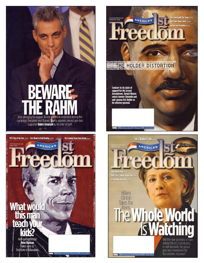

supporter Rahm Emanuel as his chief of staff. 100

**AMERICA'S** 

The Coming Storm from Brady  $p_{44}$ 



'09's Top of the Line  $p$ 26 Cass Wants to End Hunting  $p$ 36

**Arne Duncan** Secretary of Education.

**RA** Official Journal of the



Tex's Walker Colts <sub>P50</sub>

**AMERICA'S** 

AMERICA'S

GC

The Sword and The Tome  $p_{28}$ 

 $nep42$ 

rid

Will the new secretary of state

defend the U.S. Constitution,<br>or will she invite the global

gun-ban movement into

the corridors of power?

Has Their Time Come?  $p_3$ 8

Contrary to his claim of<br>support for the Second<br>Amendment, Barack Obama<br>selects former Clintonite and<br>anti–gunner Eric Holder as<br>his attorney general.

**NRA** Official Journal of the National Rifle Ass

Park Raving Mad p26<br>1968: Gun Control Catches Fire p28 Is the Militia Obsolete?  $p_3$ 8

**Hillary**<br>Clinton

Takes the

Reins:

**NRA** Official Journal of the National Rifle Association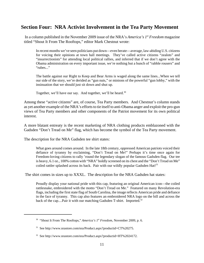# **Section Four: NRA Activist Involvement in the Tea Party Movement**

 In a column published in the November 2009 issue of the NRA's *America's 1st Freedom* magazine titled "Shout It From The Rooftops," editor Mark Chestnut wrote:

In recent months we've seen politicians put down—even berate—average, law-abiding U.S. citizens for voicing their opinions at town hall meetings. They've called active citizens "zealots" and "insurrectionists" for attending local political rallies, and inferred that if we don't agree with the Obama administration on every important issue, we're nothing but a bunch of "rabble rousers" and "rubes..."

The battle against our Right to Keep and Bear Arms is waged along the same lines...When we tell our side of the story, we're derided as "gun nuts," or minions of the powerful "gun lobby," with the insinuation that we should just sit down and shut up.

Together, we'll have our say. And together, we'll be heard.<sup>30</sup>

Among these "active citizens" are, of course, Tea Party members. And Chestnut's column stands as yet another example of the NRA's efforts to tie itself to anti-Obama anger and exploit the pro-gun views of Tea Party members and other components of the Patriot movement for its own political interest.

A more blatant entreaty is the recent marketing of NRA clothing products emblazoned with the Gadsden "Don't Tread on Me" flag, which has become the symbol of the Tea Party movement.

The description for the NRA Gadsden tee shirt states:

What goes around comes around. In the late 18th century, oppressed American patriots voiced their defiance of tyranny by exclaiming, "Don't Tread on Me!" Perhaps it's time once again for Freedom-loving citizens to rally 'round the legendary slogan of the famous Gadsden flag. Our tee is heavy, 6.1 oz., 100% cotton with "NRA" boldly screened on its chest and the "Don't Tread on Me" coiled rattler splashed across its back. Pair with our wildly popular Gadsden  $Hat^{31}$ 

The shirt comes in sizes up to XXXL. The description for the NRA Gadsden hat states:

Proudly display your national pride with this cap, featuring an original American icon—the coiled rattlesnake, embroidered with the motto "Don't Tread on Me." Featured on many Revolution-era flags, including the first state flag of South Carolina, the image reflects American pride and defiance in the face of tyranny. This cap also features an embroidered NRA logo on the bill and across the back of the cap....Pair it with our matching Gadsden T-shirt. Imported.<sup>32</sup>

<sup>&</sup>lt;sup>30</sup> "Shout It From The Rooftops," *America's 1<sup>st</sup> Freedom*, November 2009, p. 6.

<sup>31</sup> See http://www.nrastore.com/nra/Product.aspx?productid=CT%20275.

<sup>&</sup>lt;sup>32</sup> See http://www.nrastore.com/nra/Product.aspx?productid=HT%2024172.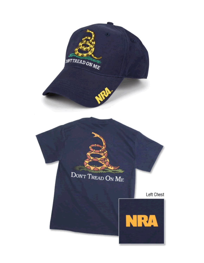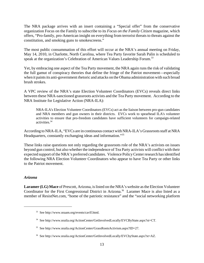The NRA package arrives with an insert containing a "Special offer" from the conservative organization Focus on the Family to subscribe to its *Focus on the Family Citizen* magazine, which offers, "Pro-family, pro-American insight on everything from terrorist threats to threats against the constitution, and smoking guns to smokescreens."

The most public consummation of this effort will occur at the NRA's annual meeting on Friday, May 14, 2010, in Charlotte, North Carolina, where Tea Party favorite Sarah Palin is scheduled to speak at the organization's Celebration of American Values Leadership Forum.<sup>33</sup>

Yet, by embracing one aspect of the Tea Party movement, the NRA again runs the risk of validating the full gamut of conspiracy theories that define the fringe of the Patriot movement—especially when it paints its anti-government rhetoric and attacks on the Obama administration with such broad brush strokes.

A VPC review of the NRA's state Election Volunteer Coordinators (EVCs) reveals direct links between these NRA-sanctioned grassroots activists and the Tea Party movement. According to the NRA Institute for Legislative Action (NRA-ILA):

NRA-ILA's Election Volunteer Coordinators (EVCs) act as the liaison between pro-gun candidates and NRA members and gun owners in their districts. EVCs work to spearhead ILA's volunteer activities to ensure that pro-freedom candidates have sufficient volunteers for campaign-related activities.34

According to NRA-ILA, "EVCs are in continuous contact with NRA-ILA's Grassroots staff at NRA Headquarters, constantly exchanging ideas and information."35

These links raise questions not only regarding the grassroots role of the NRA's activists on issues beyond gun control, but also whether the independence of Tea Party activists will conflict with their expected support of the NRA's preferred candidates. Violence Policy Center research has identified the following NRA Election Volunteer Coordinators who appear to have Tea Party or other links to the Patriot movement.

## *Arizona*

**Laramer (LG) Mace** of Prescott, Arizona, is listed on the NRA's website as the Election Volunteer Coordinator for the First Congressional District in Arizona.<sup>36</sup> Laramer Mace is also listed as a member of ResistNet.com, "home of the patriotic resistance" and the "social networking platform

<sup>33</sup> See http://www.nraam.org/events/cavlf.html.

<sup>34</sup> See http://www.nraila.org/ActionCenter/GetInvolvedLocally/EVCByState.aspx?st=CT.

<sup>35</sup> See http://www.nraila.org/ActionCenter/GrassRootsActivism.aspx?ID=27.

<sup>36</sup> See http://www.nraila.org/ActionCenter/GetInvolvedLocally/EVCbyState.aspx?st=AZ.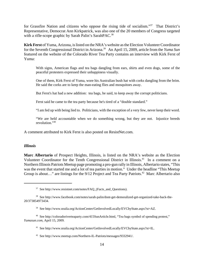for Grassfire Nation and citizens who oppose the rising tide of socialism."<sup>37</sup> That District's Representative, Democrat Ann Kirkpatrick, was also one of the 20 members of Congress targeted with a rifle-scope graphic by Sarah Palin's SarahPAC.<sup>38</sup>

**Kirk Ferst** of Yuma, Arizona, is listed on the NRA's website as the Election Volunteer Coordinator for the Seventh Congressional District in Arizona.39 An April 15, 2009, article from the *Yuma Sun* featured on the website of the Colorado River Tea Party contains an interview with Kirk Ferst of Yuma:

With signs, American flags and tea bags dangling from ears, shirts and even dogs, some of the peaceful protesters expressed their unhappiness visually.

One of them, Kirk Ferst of Yuma, wore his Australian bush hat with corks dangling from the brim. He said the corks are to keep the man-eating flies and mosquitoes away.

But Ferst's hat had a new addition: tea bags, he said, to keep away the corrupt politicians.

Ferst said he came to the tea party because he's tired of a "double standard."

"I am fed up with being lied to. Politicians, with the exception of a very few, never keep their word.

"We are held accountable when we do something wrong, but they are not. Injustice breeds revolution."40

A comment attributed to Kirk Ferst is also posted on ResistNet.com.

#### *Illinois*

**Marc Albertario** of Prospect Heights, Illinois, is listed on the NRA's website as the Election Volunteer Coordinator for the Tenth Congressional District in Illinois.<sup>41</sup> In a comment on a Northern Illinois Patriots Meetup page promoting a pro-gun rally in Illinois, Albertario states, "This was the event that started me and a lot of tea parties in motion." Under the headline "This Meetup Group is about..." are listings for the  $9/12$  Project and Tea Party Patriots.<sup>42</sup> Marc Albertario also

<sup>&</sup>lt;sup>37</sup> See http://www.resistnet.com/notes/FAQ\_(Facts\_and\_Questions).

<sup>38</sup> See http://www.facebook.com/notes/sarah-palin/dont-get-demoralized-get-organized-take-back-the-20/373854973434.

<sup>39</sup> See http://www.nraila.org/ActionCenter/GetInvolvedLocally/EVCbyState.aspx?st=AZ.

<sup>40</sup> See http://coloradoriverteaparty.com/415SunArticle.html, "Tea bags symbol of spending protest," *Yumasun.com*, April 15, 2009.

<sup>41</sup> See http://www.nraila.org/ActionCenter/GetInvolvedLocally/EVCbyState.aspx?st=IL.

<sup>42</sup> See http://www.meetup.com/Northern-IL-Patriots/messages/9332941/.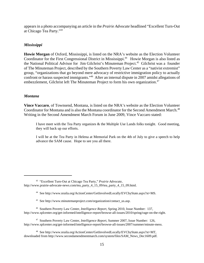appears in a photo accompanying an article in the *Prairie Advocate* headlined "Excellent Turn-Out at Chicago Tea Party."43

## *Mississippi*

**Howie Morgan** of Oxford, Mississippi, is listed on the NRA's website as the Election Volunteer Coordinator for the First Congressional District in Mississippi.<sup>44</sup> Howie Morgan is also listed as the National Political Advisor for Jim Gilchrist's Minuteman Project.45 Gilchrist was a founder of The Minuteman Project, described by the Southern Poverty Law Center as a "nativist extremist" group, "organizations that go beyond mere advocacy of restrictive immigration policy to actually confront or harass suspected immigrants."<sup>46</sup> After an internal dispute in 2007 amidst allegations of embezzlement, Gilchrist left The Minuteman Project to form his own organization.<sup>47</sup>

## *Montana*

**Vince Vaccaro**, of Townsend, Montana, is listed on the NRA's website as the Election Volunteer Coordinator for Montana and is also the Montana coordinator for the Second Amendment March.<sup>48</sup> Writing in the Second Amendment March Forum in June 2009, Vince Vaccaro stated:

I have meet with the Tea Party organizes & the Multiple Use Lands folks tonight. Good meeting, they will back up our efforts.

I will be at the Tea Party in Helena at Memorial Park on the 4th of July to give a speech to help advance the SAM cause. Hope to see you all there.

<sup>43 &</sup>quot;Excellent Turn-Out at Chicago Tea Party," *Prairie Advocate*, http://www.prairie-advocate-news.com/tea\_party\_4\_15\_09/tea\_party\_4\_15\_09.html.

<sup>44</sup> See http://www.nraila.org/ActionCenter/GetInvolvedLocally/EVCbyState.aspx?st=MS.

<sup>45</sup> See http://www.minutemanproject.com/organization/contact\_us.asp.

<sup>46</sup> Southern Poverty Law Center, *Intelligence Report*, Spring 2010, Issue Number: 137, http://www.splcenter.org/get-informed/intelligence-report/browse-all-issues/2010/spring/rage-on-the-right.

<sup>47</sup> Southern Poverty Law Center, *Intelligence Report*, Summer 2007, Issue Number: 126, http://www.splcenter.org/get-informed/intelligence-report/browse-all-issues/2007/summer/minute-mess.

<sup>48</sup> See http://www.nraila.org/ActionCenter/GetInvolvedLocally/EVCbyState.aspx?st=MT, downloaded from http://www.secondamendmentmarch.com/system/files/SAM\_News\_Dec1609.pdf.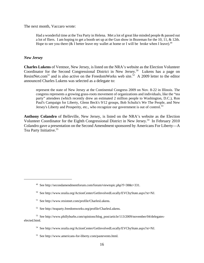The next month, Vaccaro wrote:

Had a wonderful time at the Tea Party in Helena. Met a lot of great like minded people & passed out a lot of fliers. I am hoping to get a booth set up at the Gun show in Bozeman for the 10, 11, & 12th. Hope to see you there ( $&$  I better leave my wallet at home or I will be broke when I leave).<sup>49</sup>

#### *New Jersey*

**Charles Lukens** of Ventnor, New Jersey, is listed on the NRA's website as the Election Volunteer Coordinator for the Second Congressional District in New Jersey.<sup>50</sup> Lukens has a page on ResistNet.com<sup>51</sup> and is also active on the FreedomWorks web site.<sup>52</sup> A 2009 letter to the editor announced Charles Lukens was selected as a delegate to:

represent the state of New Jersey at the Continental Congress 2009 on Nov. 8-22 in Illinois. The congress represents a growing grass-roots movement of organizations and individuals, like the "tea party" attendees (which recently drew an estimated 2 million people to Washington, D.C.), Ron Paul's Campaign for Liberty, Glenn Beck's 9/12 groups, Bob Schultz's We The People, and New Jersey's Liberty and Prosperity, etc., who recognize our government is out of control.<sup>53</sup>

**Anthony Colandro** of Belleville, New Jersey, is listed on the NRA's website as the Election Volunteer Coordinator for the Eighth Congressional District in New Jersey.<sup>54</sup> In February 2010 Colandro gave a presentation on the Second Amendment sponsored by Americans For Liberty—A Tea Party Initiative.<sup>55</sup>

<sup>49</sup> See http://secondamendmentforum.com/forum/viewtopic.php?f=38&t=331.

<sup>50</sup> See http://www.nraila.org/ActionCenter/GetInvolvedLocally/EVCbyState.aspx?st=NJ.

<sup>51</sup> See http://www.resistnet.com/profile/CharlesLukens.

<sup>52</sup> See http://teaparty.freedomworks.org/profile/CharlesLukens.

<sup>&</sup>lt;sup>53</sup> See http://www.phillyburbs.com/opinions/blog\_post/article/113/2009/november/04/delegateselected.html.

<sup>54</sup> See http://www.nraila.org/ActionCenter/GetInvolvedLocally/EVCbyState.aspx?st=NJ.

<sup>55</sup> See http://www.americans-for-liberty.com/pastevents.html.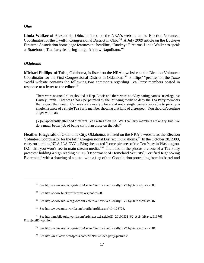#### *Ohio*

**Linda Walker** of Alexandria, Ohio, is listed on the NRA's website as the Election Volunteer Coordinator for the Twelfth Congressional District in Ohio.<sup>56</sup> A July 2009 article on the Buckeye Firearms Association home page features the headline, "Buckeye Firearms' Linda Walker to speak at Statehouse Tea Party featuring Judge Andrew Napolitano."57

#### *Oklahoma*

**Michael Phillips**, of Tulsa, Oklahoma, is listed on the NRA's website as the Election Volunteer Coordinator for the First Congressional District in Oklahoma.58 Phillips' "profile" on the *Tulsa World* website contains the following two comments regarding Tea Party members posted in response to a letter to the editor.<sup>59</sup>

There were no racial slurs shouted at Rep. Lewis and there were no "Gay hating names" used against Barney Frank. That was a hoax perpetrated by the left wing media to deny the Tea Party members the respect they need. Cameras were every where and not a single camera was able to pick up a single instance of a single Tea Party member showing that kind of disrespect. You shouldn't confuse anger with hate.

[Y]ou apparently attended different Tea Parties than me. We Tea Party members are angry, but...we do a much better job of being civil than those on the left. $60$ 

**Heather Fitzgerald** of Oklahoma City, Oklahoma, is listed on the NRA's website as the Election Volunteer Coordinator for the Fifth Congressional District in Oklahoma.<sup>61</sup> In the October 28, 2009, entry on her blog NRA-ILA EVC's Blog she posted "some pictures of the Tea Party in Washington, D.C. that you won't see in main stream media."<sup>62</sup> Included in the photos are one of a Tea Party protester holding a sign reading "DHS [Department of Homeland Security] Certified Right-Wing Extremist," with a drawing of a pistol with a flag of the Constitution protruding from its barrel and

- 58 See http://www.nraila.org/ActionCenter/GetInvolvedLocally/EVCbyState.aspx?st=OK.
- 59 See http://www.tulsaworld.com/profile/profile.aspx?id=128723.

<sup>56</sup> See http://www.nraila.org/ActionCenter/GetInvolvedLocally/EVCbyState.aspx?st=OH.

<sup>57</sup> See http://www.buckeyefirearms.org/node/6785.

 $60$  See http://mobile.tulsaworld.com/article.aspx?articleID=20100331\_62\_A18\_hHavea919765 &subjectID=opinion.

<sup>61</sup> See http://www.nraila.org/ActionCenter/GetInvolvedLocally/EVCbyState.aspx?st=OK.

 $62$  See http://nrailaevc.wordpress.com/2009/10/28/tea-party-pictures/.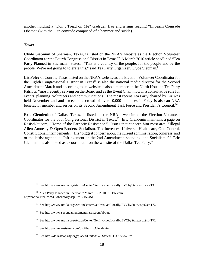another holding a "Don't Tread on Me" Gadsden flag and a sign reading "Impeach Comrade Obama" (with the C in comrade composed of a hammer and sickle).

## *Texas*

**Clyde Siebman** of Sherman, Texas, is listed on the NRA's website as the Election Volunteer Coordinator for the Fourth Congressional District in Texas.<sup>63</sup> A March 2010 article headlined "Tea Party Planned in Sherman," states: "This is a country of the people, for the people and by the people. We're not going to tolerate this," said Tea Party Organizer, Clyde Siebman.64

**Liz Foley** of Conroe, Texas, listed on the NRA's website as the Election Volunteer Coordinator for the Eighth Congressional District in Texas<sup>65</sup> is also the national media director for the Second Amendment March and according to its website is also a member of the North Houston Tea Party Patriots, "most recently serving on the Board and as the Event Chair, now in a consultative role for events, planning, volunteers and communications. The most recent Tea Party chaired by Liz was held November 2nd and exceeded a crowd of over 10,000 attendees." Foley is also an NRA benefactor member and serves on its Second Amendment Task Force and President's Council.66

**Eric Clendenin** of Dallas, Texas, is listed on the NRA's website as the Election Volunteer Coordinator for the 30th Congressional District in Texas.<sup>67</sup> Eric Clendenin maintains a page on ResistNet.com, "Home of the Patriotic Resistance." Issues that concern him most are: "Illegal Alien Amnesty & Open Borders, Socialism, Tax Increases, Universal Healthcare, Gun Control, Constitutional Infringements." His "biggest concern about the current administration, congress, and or the leftist agenda is...Infringement on the 2nd Amendment, spending, and Socialism."68 Eric Clendenin is also listed as a coordinator on the website of the Dallas Tea Party.<sup>69</sup>

- 65 See http://www.nraila.org/ActionCenter/GetInvolvedLocally/EVCbyState.aspx?st=TX.
- 66 See http://www.secondamendmentmarch.com/about.
- 67 See http://www.nraila.org/ActionCenter/GetInvolvedLocally/EVCbyState.aspx?st=TX.
- 68 See http://www.resistnet.com/profile/EricClendenin.
- 69 See http://dallasteaparty.org/places/United%20States/TEXAS/75227/.

<sup>63</sup> See http://www.nraila.org/ActionCenter/GetInvolvedLocally/EVCbyState.aspx?st=TX.

<sup>64 &</sup>quot;Tea Party Planned in Sherman," March 16, 2010, KTEN.com, http://www.kten.com/Global/story.asp?S=12152451.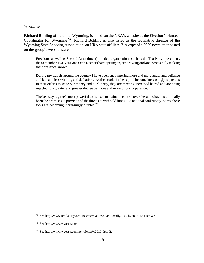#### *Wyoming*

**Richard Bohling** of Laramie, Wyoming, is listed on the NRA's website as the Election Volunteer Coordinator for Wyoming.70 Richard Bohling is also listed as the legislative director of the Wyoming State Shooting Association, an NRA state affiliate.<sup>71</sup> A copy of a 2009 newsletter posted on the group's website states:

Freedom (as well as Second Amendment) minded organizations such as the Tea Party movement, the September Twelvers, and Oath Keepers have sprung up, are growing and are increasingly making their presence known.

During my travels around the country I have been encountering more and more anger and defiance and less and less whining and defeatism. As the crooks in the capitol become increasingly rapacious in their efforts to seize our money and our liberty, they are meeting increased hatred and are being rejected to a greater and greater degree by more and more of our population.

The beltway regime's most powerful tools used to maintain control over the states have traditionally been the promises to provide and the threats to withhold funds. As national bankruptcy looms, these tools are becoming increasingly blunted.<sup>72</sup>

<sup>70</sup> See http://www.nraila.org/ActionCenter/GetInvolvedLocally/EVCbyState.aspx?st=WY.

<sup>71</sup> See http://www.wyossa.com.

<sup>72</sup> See http://www.wyossa.com/newsletter%2010-09.pdf.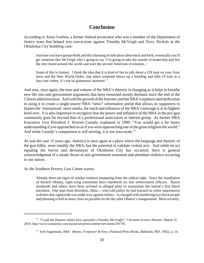# **Conclusion**

According to Aitan Goelma, a former federal prosecutor who was a member of the Department of Justice team that helped win convictions against Timothy McVeigh and Terry Nichols in the Oklahoma City bombing case:

Anytime you have group-think and this churning of ridiculous ideas back and forth, eventually you'll get someone like McVeigh who's going to say 'I'm going to take the mantle of leadership and fire the shot heard around the world and start the second American revolution...'

Some of this is fantasy. I think the idea that it is kind of fun to talk about a UN tank on your front lawn and the New World Order...but when someone blows up a building and kills 19 kids in a day-care center, it's not so glamorous anymore.<sup>73</sup>

And now, once again, the tone and volume of the NRA's rhetoric is changing as it helps to breathe new life into anti-government arguments that have remained mostly dormant since the end of the Clinton administration. And with the growth of the Internet, and the NRA's sophisticated dedication in using it to create a single-source NRA "news" information portal that allows its supporters to bypass the 'mainstream' news media, the reach and influence of the NRA's message is at its highest level ever. It is also important to recognize that the power and influence of the NRA in the pro-gun community goes far beyond that of a professional association or interest group. As former NRA Executive Vice President J. Warren Cassidy explained in 1990, "You would get a far better understanding if you approached us as if you were approaching one of the great religions the world." And while Cassidy's comparison is self-serving, it is not inaccurate.<sup>74</sup>

As was the case 15 years ago, America is once again at a place where the language and rhetoric of the gun lobby, most notably the NRA, has the potential to validate violent acts. And while no act equaling the horror and devastation of Oklahoma City has occurred, there is general acknowledgment of a steady thrum of anti-government sentiment and attendant violence occurring in our nation.

As the Southern Poverty Law Center warns:

Already there are signs of similar violence emanating from the radical right. Since the installation of Barack Obama, right-wing extremists have murdered six law enforcement officers. Racist skinheads and others have been arrested in alleged plots to assassinate the nation's first black president. One man from Brockton, Mass.—who told police he had learned on white supremacist websites that a genocide was under way against whites—is charged with murdering two black people and planning to kill as many Jews as possible on the day after Obama's inauguration. Most recently,

<sup>73 &</sup>quot;Could the Hutaree militia have spawned a Timothy McVeigh?," *Christian Science Monitor*, March 31, 2010, http://www.csmonitor.com/layout/set/print/content/view/print/291795.

<sup>74</sup> Josh Sugarmann, *NRA: Money, Firepower & Fear*, (National Press Books, Bethesda, MD, 1992), p. 14.